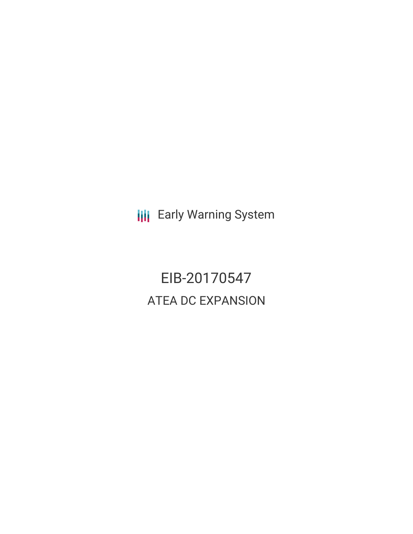**III** Early Warning System

EIB-20170547 ATEA DC EXPANSION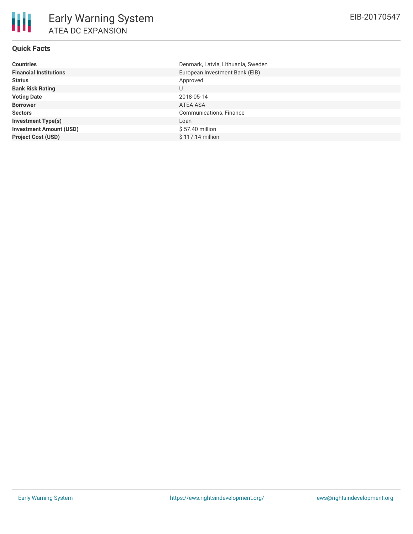# **Quick Facts**

| <b>Countries</b>               | Denmark, Latvia, Lithuania, Sweden |
|--------------------------------|------------------------------------|
| <b>Financial Institutions</b>  | European Investment Bank (EIB)     |
| <b>Status</b>                  | Approved                           |
| <b>Bank Risk Rating</b>        | U                                  |
| <b>Voting Date</b>             | 2018-05-14                         |
| <b>Borrower</b>                | ATEA ASA                           |
| <b>Sectors</b>                 | Communications, Finance            |
| <b>Investment Type(s)</b>      | Loan                               |
| <b>Investment Amount (USD)</b> | \$57.40 million                    |
| <b>Project Cost (USD)</b>      | \$117.14 million                   |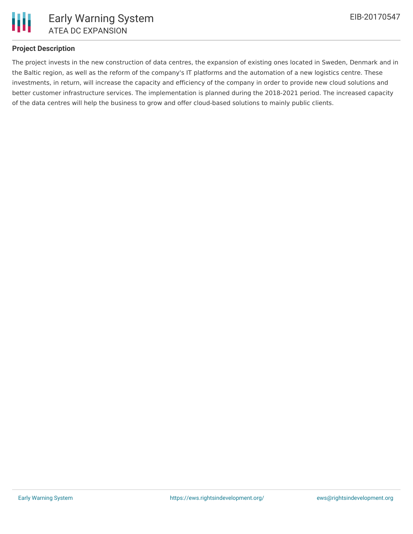

### **Project Description**

The project invests in the new construction of data centres, the expansion of existing ones located in Sweden, Denmark and in the Baltic region, as well as the reform of the company's IT platforms and the automation of a new logistics centre. These investments, in return, will increase the capacity and efficiency of the company in order to provide new cloud solutions and better customer infrastructure services. The implementation is planned during the 2018-2021 period. The increased capacity of the data centres will help the business to grow and offer cloud-based solutions to mainly public clients.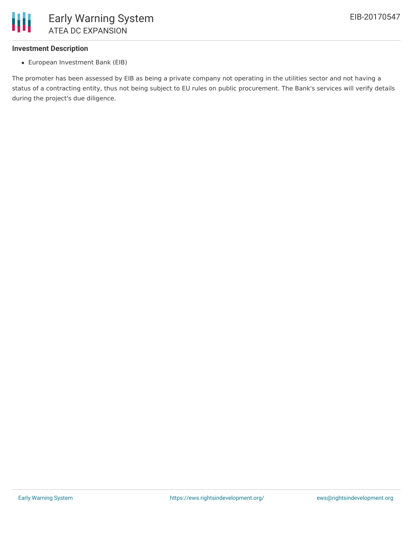

### **Investment Description**

European Investment Bank (EIB)

The promoter has been assessed by EIB as being a private company not operating in the utilities sector and not having a status of a contracting entity, thus not being subject to EU rules on public procurement. The Bank's services will verify details during the project's due diligence.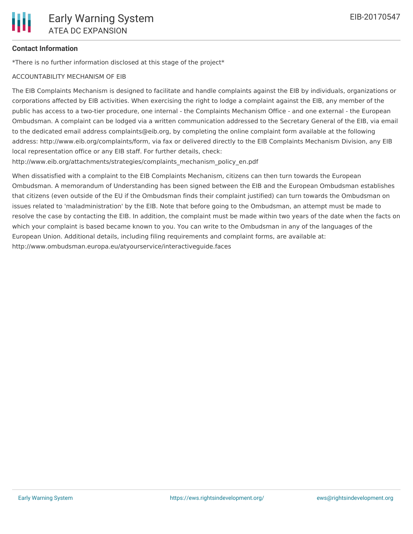## **Contact Information**

\*There is no further information disclosed at this stage of the project\*

### ACCOUNTABILITY MECHANISM OF EIB

The EIB Complaints Mechanism is designed to facilitate and handle complaints against the EIB by individuals, organizations or corporations affected by EIB activities. When exercising the right to lodge a complaint against the EIB, any member of the public has access to a two-tier procedure, one internal - the Complaints Mechanism Office - and one external - the European Ombudsman. A complaint can be lodged via a written communication addressed to the Secretary General of the EIB, via email to the dedicated email address complaints@eib.org, by completing the online complaint form available at the following address: http://www.eib.org/complaints/form, via fax or delivered directly to the EIB Complaints Mechanism Division, any EIB local representation office or any EIB staff. For further details, check:

http://www.eib.org/attachments/strategies/complaints\_mechanism\_policy\_en.pdf

When dissatisfied with a complaint to the EIB Complaints Mechanism, citizens can then turn towards the European Ombudsman. A memorandum of Understanding has been signed between the EIB and the European Ombudsman establishes that citizens (even outside of the EU if the Ombudsman finds their complaint justified) can turn towards the Ombudsman on issues related to 'maladministration' by the EIB. Note that before going to the Ombudsman, an attempt must be made to resolve the case by contacting the EIB. In addition, the complaint must be made within two years of the date when the facts on which your complaint is based became known to you. You can write to the Ombudsman in any of the languages of the European Union. Additional details, including filing requirements and complaint forms, are available at: http://www.ombudsman.europa.eu/atyourservice/interactiveguide.faces